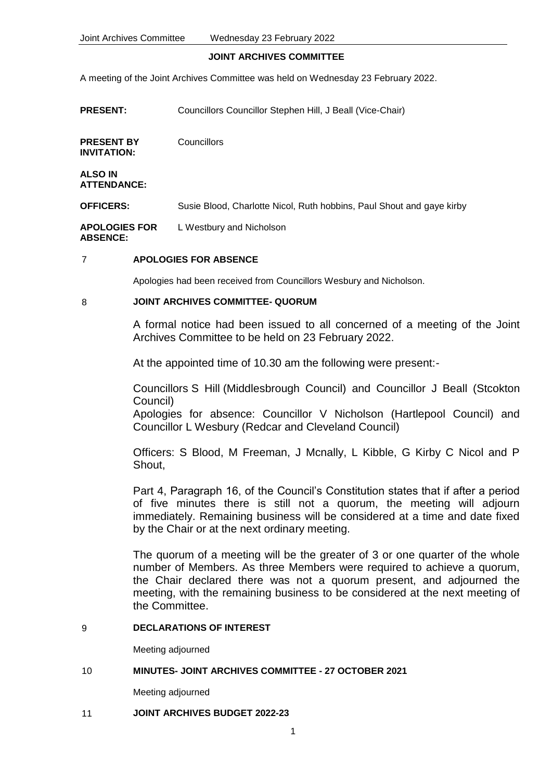#### **JOINT ARCHIVES COMMITTEE**

A meeting of the Joint Archives Committee was held on Wednesday 23 February 2022.

| <b>PRESENT:</b>                         | Councillors Councillor Stephen Hill, J Beall (Vice-Chair)             |
|-----------------------------------------|-----------------------------------------------------------------------|
| <b>PRESENT BY</b><br>INVITATION:        | Councillors                                                           |
| ALSO IN<br><b>ATTENDANCE:</b>           |                                                                       |
| <b>OFFICERS:</b>                        | Susie Blood, Charlotte Nicol, Ruth hobbins, Paul Shout and gaye kirby |
| <b>APOLOGIES FOR</b><br><b>ABSENCE:</b> | L Westbury and Nicholson                                              |

## 7 **APOLOGIES FOR ABSENCE**

Apologies had been received from Councillors Wesbury and Nicholson.

### 8 **JOINT ARCHIVES COMMITTEE- QUORUM**

A formal notice had been issued to all concerned of a meeting of the Joint Archives Committee to be held on 23 February 2022.

At the appointed time of 10.30 am the following were present:-

Councillors S Hill (Middlesbrough Council) and Councillor J Beall (Stcokton Council)

Apologies for absence: Councillor V Nicholson (Hartlepool Council) and Councillor L Wesbury (Redcar and Cleveland Council)

Officers: S Blood, M Freeman, J Mcnally, L Kibble, G Kirby C Nicol and P Shout,

Part 4, Paragraph 16, of the Council's Constitution states that if after a period of five minutes there is still not a quorum, the meeting will adjourn immediately. Remaining business will be considered at a time and date fixed by the Chair or at the next ordinary meeting.

The quorum of a meeting will be the greater of 3 or one quarter of the whole number of Members. As three Members were required to achieve a quorum, the Chair declared there was not a quorum present, and adjourned the meeting, with the remaining business to be considered at the next meeting of the Committee.

## 9 **DECLARATIONS OF INTEREST**

Meeting adjourned

# 10 **MINUTES- JOINT ARCHIVES COMMITTEE - 27 OCTOBER 2021**

Meeting adjourned

### 11 **JOINT ARCHIVES BUDGET 2022-23**